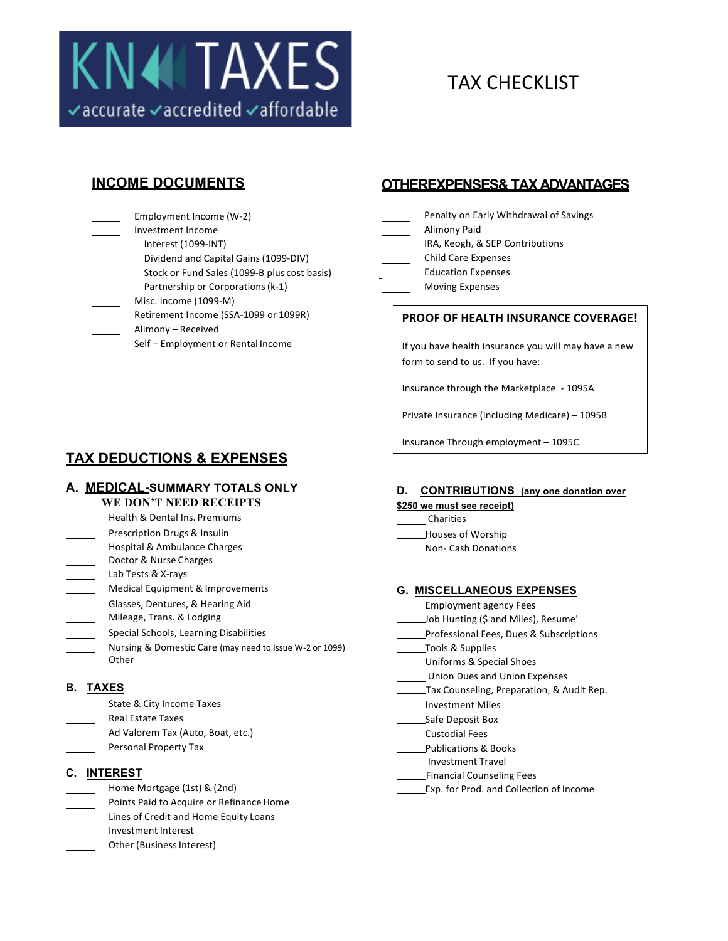

# TAX CHECKLIST

Employment Income (W-2) Investment Income Interest (1099-INT) Dividend and Capital Gains (1099-DIV) Stock or Fund Sales (1099-B plus cost basis) Partnership or Corporations (k-1)  $Miss.$  Income (1099-M) Retirement Income (SSA-1099 or 1099R) Alimony - Received Self - Employment or Rental Income

**TAX DEDUCTIONS & EXPENSES**

## **A. MEDICAL-SUMMARY TOTALS ONLY**

## **WE DON'T NEED RECEIPTS**

- Health & Dental Ins. Premiums
- Prescription Drugs & Insulin Houses of Worship Houses of Worship
- Hospital & Ambulance Charges Non- Cash Donations
- Doctor & Nurse Charges
- Lab Tests & X-rays
- 
- Glasses, Dentures, & Hearing Aid **Employment** agency Fees
- 
- 
- Nursing & Domestic Care (may need to issue W-2 or 1099) \_\_\_\_\_\_\_\_\_\_\_\_Tools & Supplies
- 

- State & City Income Taxes **Investment Miles** Investment Miles
- 
- 
- 

- 
- Points Paid to Acquire or Refinance Home
- Lines of Credit and Home Equity Loans
- Investment Interest
- Other (Business Interest)

## **INCOME DOCUMENTS OTHEREXPENSES& TAX ADVANTAGES**

- Penalty on Early Withdrawal of Savings
- **Alimony Paid**
- IRA, Keogh, & SEP Contributions
- Child Care Expenses
- Education Expenses
	- **Moving Expenses**

## **PROOF OF HEALTH INSURANCE COVERAGE!**

If you have health insurance you will may have a new form to send to us. If you have:

Insurance through the Marketplace - 1095A

Private Insurance (including Medicare) - 1095B

Insurance Through employment – 1095C

## **D. CONTRIBUTIONS (any one donation over**

- **\$250 we must see receipt)**
- Charities
- 
- 

## Medical Equipment & Improvements **G. MISCELLANEOUS EXPENSES**

- 
- Mileage, Trans. & Lodging The Miles of the Miles of the Miles Job Hunting (\$ and Miles), Resume'
- Special Schools, Learning Disabilities **Professional Fees, Dues & Subscriptions** Professional Fees, Dues & Subscriptions
	-
	-
	- Union Dues and Union Expenses
- **B. TAXES** TAXES TAXES TAXES TAXES TAX COUNSELLING TAX COUNSELING, Preparation, & Audit Rep.
	-
	- Real Estate Taxes **Safe Deposit Box** 8. **Safe Deposit Box** 
		-
		-
		- Investment Travel
		-
		-
	- Personal Property Tax **Publications** & Books
- **C. INTEREST C. INTEREST** 
	- Home Mortgage (1st) & (2nd) The Collection of Income Exp. for Prod. and Collection of Income
- Ad Valorem Tax (Auto, Boat, etc.) Custodial Fees
- Other Changes and Changes and Changes and Changes and Changes and Changes and Changes and Changes and Changes and Changes and Changes and Changes and Changes and Changes and Changes and Changes and Changes and Changes and
-